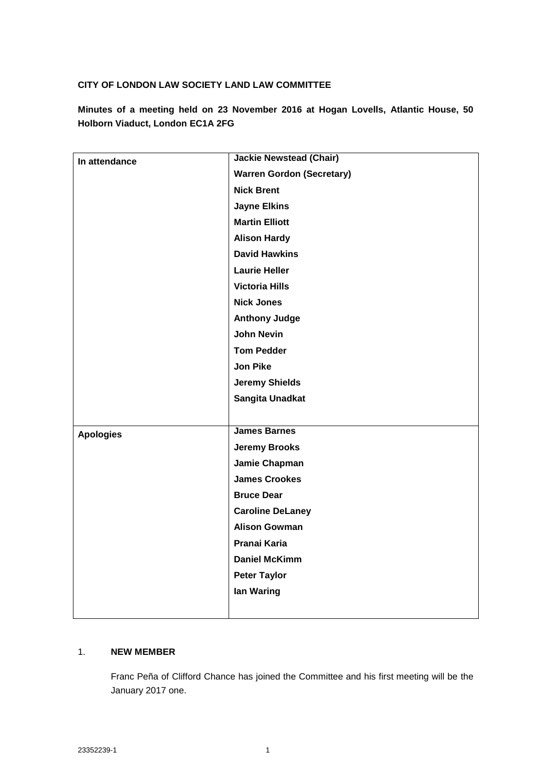## **CITY OF LONDON LAW SOCIETY LAND LAW COMMITTEE**

**Minutes of a meeting held on 23 November 2016 at Hogan Lovells, Atlantic House, 50 Holborn Viaduct, London EC1A 2FG**

| In attendance    | <b>Jackie Newstead (Chair)</b>   |
|------------------|----------------------------------|
|                  | <b>Warren Gordon (Secretary)</b> |
|                  | <b>Nick Brent</b>                |
|                  | <b>Jayne Elkins</b>              |
|                  | <b>Martin Elliott</b>            |
|                  | <b>Alison Hardy</b>              |
|                  | <b>David Hawkins</b>             |
|                  | <b>Laurie Heller</b>             |
|                  | <b>Victoria Hills</b>            |
|                  | <b>Nick Jones</b>                |
|                  | <b>Anthony Judge</b>             |
|                  | <b>John Nevin</b>                |
|                  | <b>Tom Pedder</b>                |
|                  | <b>Jon Pike</b>                  |
|                  | <b>Jeremy Shields</b>            |
|                  | Sangita Unadkat                  |
|                  |                                  |
| <b>Apologies</b> | <b>James Barnes</b>              |
|                  | <b>Jeremy Brooks</b>             |
|                  | Jamie Chapman                    |
|                  | <b>James Crookes</b>             |
|                  | <b>Bruce Dear</b>                |
|                  | <b>Caroline DeLaney</b>          |
|                  | <b>Alison Gowman</b>             |
|                  | Pranai Karia                     |
|                  | <b>Daniel McKimm</b>             |
|                  | <b>Peter Taylor</b>              |
|                  | lan Waring                       |
|                  |                                  |
|                  |                                  |

## 1. **NEW MEMBER**

Franc Peña of Clifford Chance has joined the Committee and his first meeting will be the January 2017 one.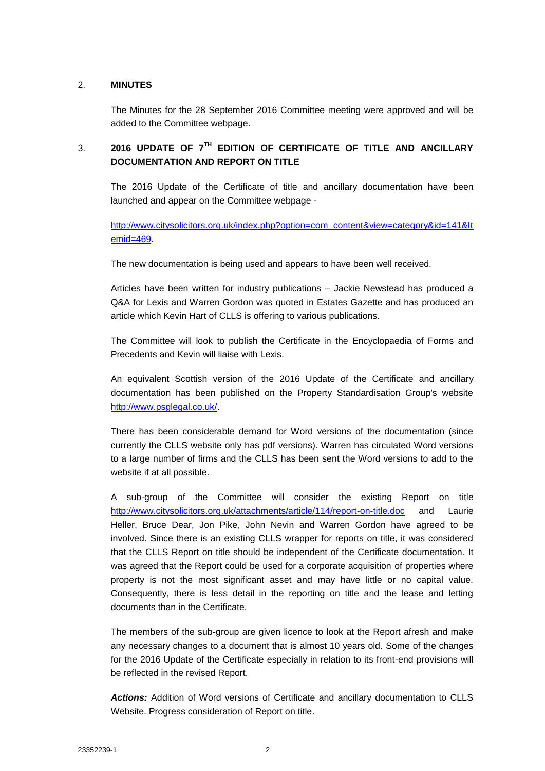## 2. **MINUTES**

The Minutes for the 28 September 2016 Committee meeting were approved and will be added to the Committee webpage.

# 3. **2016 UPDATE OF 7TH EDITION OF CERTIFICATE OF TITLE AND ANCILLARY DOCUMENTATION AND REPORT ON TITLE**

The 2016 Update of the Certificate of title and ancillary documentation have been launched and appear on the Committee webpage -

[http://www.citysolicitors.org.uk/index.php?option=com\\_content&view=category&id=141&It](http://www.citysolicitors.org.uk/index.php?option=com_content&view=category&id=141&Itemid=469) [emid=469.](http://www.citysolicitors.org.uk/index.php?option=com_content&view=category&id=141&Itemid=469)

The new documentation is being used and appears to have been well received.

Articles have been written for industry publications – Jackie Newstead has produced a Q&A for Lexis and Warren Gordon was quoted in Estates Gazette and has produced an article which Kevin Hart of CLLS is offering to various publications.

The Committee will look to publish the Certificate in the Encyclopaedia of Forms and Precedents and Kevin will liaise with Lexis.

An equivalent Scottish version of the 2016 Update of the Certificate and ancillary documentation has been published on the Property Standardisation Group's website [http://www.psglegal.co.uk/.](http://www.psglegal.co.uk/)

There has been considerable demand for Word versions of the documentation (since currently the CLLS website only has pdf versions). Warren has circulated Word versions to a large number of firms and the CLLS has been sent the Word versions to add to the website if at all possible.

A sub-group of the Committee will consider the existing Report on title <http://www.citysolicitors.org.uk/attachments/article/114/report-on-title.doc> and Laurie Heller, Bruce Dear, Jon Pike, John Nevin and Warren Gordon have agreed to be involved. Since there is an existing CLLS wrapper for reports on title, it was considered that the CLLS Report on title should be independent of the Certificate documentation. It was agreed that the Report could be used for a corporate acquisition of properties where property is not the most significant asset and may have little or no capital value. Consequently, there is less detail in the reporting on title and the lease and letting documents than in the Certificate.

The members of the sub-group are given licence to look at the Report afresh and make any necessary changes to a document that is almost 10 years old. Some of the changes for the 2016 Update of the Certificate especially in relation to its front-end provisions will be reflected in the revised Report.

*Actions:* Addition of Word versions of Certificate and ancillary documentation to CLLS Website. Progress consideration of Report on title.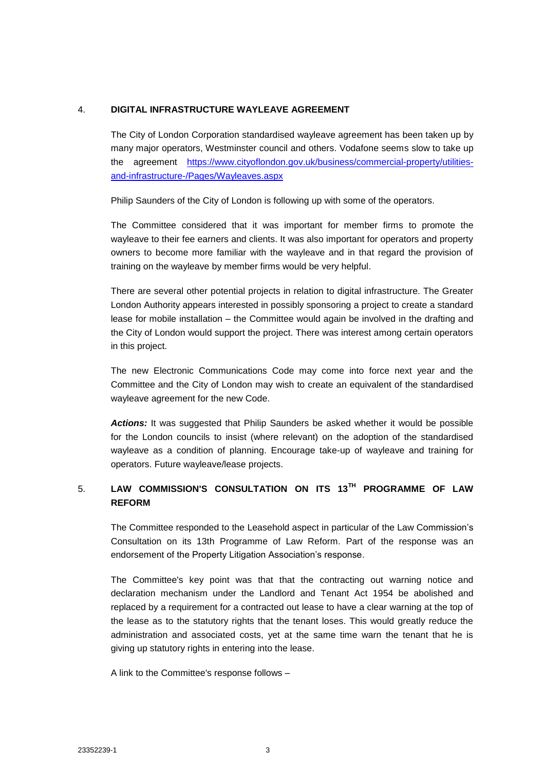## 4. **DIGITAL INFRASTRUCTURE WAYLEAVE AGREEMENT**

The City of London Corporation standardised wayleave agreement has been taken up by many major operators, Westminster council and others. Vodafone seems slow to take up the agreement [https://www.cityoflondon.gov.uk/business/commercial-property/utilities](https://www.cityoflondon.gov.uk/business/commercial-property/utilities-and-infrastructure-/Pages/Wayleaves.aspx)[and-infrastructure-/Pages/Wayleaves.aspx](https://www.cityoflondon.gov.uk/business/commercial-property/utilities-and-infrastructure-/Pages/Wayleaves.aspx)

Philip Saunders of the City of London is following up with some of the operators.

The Committee considered that it was important for member firms to promote the wayleave to their fee earners and clients. It was also important for operators and property owners to become more familiar with the wayleave and in that regard the provision of training on the wayleave by member firms would be very helpful.

There are several other potential projects in relation to digital infrastructure. The Greater London Authority appears interested in possibly sponsoring a project to create a standard lease for mobile installation – the Committee would again be involved in the drafting and the City of London would support the project. There was interest among certain operators in this project.

The new Electronic Communications Code may come into force next year and the Committee and the City of London may wish to create an equivalent of the standardised wayleave agreement for the new Code.

*Actions:* It was suggested that Philip Saunders be asked whether it would be possible for the London councils to insist (where relevant) on the adoption of the standardised wayleave as a condition of planning. Encourage take-up of wayleave and training for operators. Future wayleave/lease projects.

# 5. **LAW COMMISSION'S CONSULTATION ON ITS 13TH PROGRAMME OF LAW REFORM**

The Committee responded to the Leasehold aspect in particular of the Law Commission's Consultation on its 13th Programme of Law Reform. Part of the response was an endorsement of the Property Litigation Association's response.

The Committee's key point was that that the contracting out warning notice and declaration mechanism under the Landlord and Tenant Act 1954 be abolished and replaced by a requirement for a contracted out lease to have a clear warning at the top of the lease as to the statutory rights that the tenant loses. This would greatly reduce the administration and associated costs, yet at the same time warn the tenant that he is giving up statutory rights in entering into the lease.

A link to the Committee's response follows –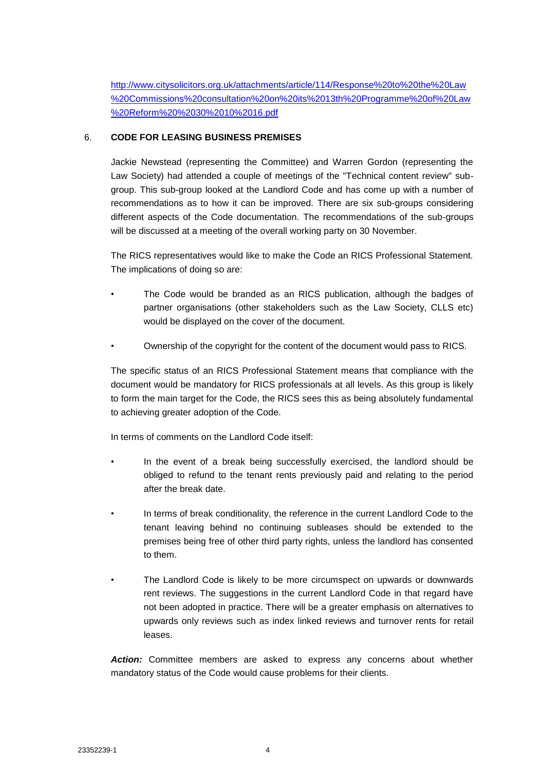[http://www.citysolicitors.org.uk/attachments/article/114/Response%20to%20the%20Law](http://www.citysolicitors.org.uk/attachments/article/114/Response%20to%20the%20Law%20Commissions%20consultation%20on%20its%2013th%20Programme%20of%20Law%20Reform%20%2030%2010%2016.pdf) [%20Commissions%20consultation%20on%20its%2013th%20Programme%20of%20Law](http://www.citysolicitors.org.uk/attachments/article/114/Response%20to%20the%20Law%20Commissions%20consultation%20on%20its%2013th%20Programme%20of%20Law%20Reform%20%2030%2010%2016.pdf) [%20Reform%20%2030%2010%2016.pdf](http://www.citysolicitors.org.uk/attachments/article/114/Response%20to%20the%20Law%20Commissions%20consultation%20on%20its%2013th%20Programme%20of%20Law%20Reform%20%2030%2010%2016.pdf)

## 6. **CODE FOR LEASING BUSINESS PREMISES**

Jackie Newstead (representing the Committee) and Warren Gordon (representing the Law Society) had attended a couple of meetings of the "Technical content review" subgroup. This sub-group looked at the Landlord Code and has come up with a number of recommendations as to how it can be improved. There are six sub-groups considering different aspects of the Code documentation. The recommendations of the sub-groups will be discussed at a meeting of the overall working party on 30 November.

The RICS representatives would like to make the Code an RICS Professional Statement. The implications of doing so are:

- The Code would be branded as an RICS publication, although the badges of partner organisations (other stakeholders such as the Law Society, CLLS etc) would be displayed on the cover of the document.
- Ownership of the copyright for the content of the document would pass to RICS.

The specific status of an RICS Professional Statement means that compliance with the document would be mandatory for RICS professionals at all levels. As this group is likely to form the main target for the Code, the RICS sees this as being absolutely fundamental to achieving greater adoption of the Code.

In terms of comments on the Landlord Code itself:

- In the event of a break being successfully exercised, the landlord should be obliged to refund to the tenant rents previously paid and relating to the period after the break date.
- In terms of break conditionality, the reference in the current Landlord Code to the tenant leaving behind no continuing subleases should be extended to the premises being free of other third party rights, unless the landlord has consented to them.
- The Landlord Code is likely to be more circumspect on upwards or downwards rent reviews. The suggestions in the current Landlord Code in that regard have not been adopted in practice. There will be a greater emphasis on alternatives to upwards only reviews such as index linked reviews and turnover rents for retail leases.

*Action:* Committee members are asked to express any concerns about whether mandatory status of the Code would cause problems for their clients.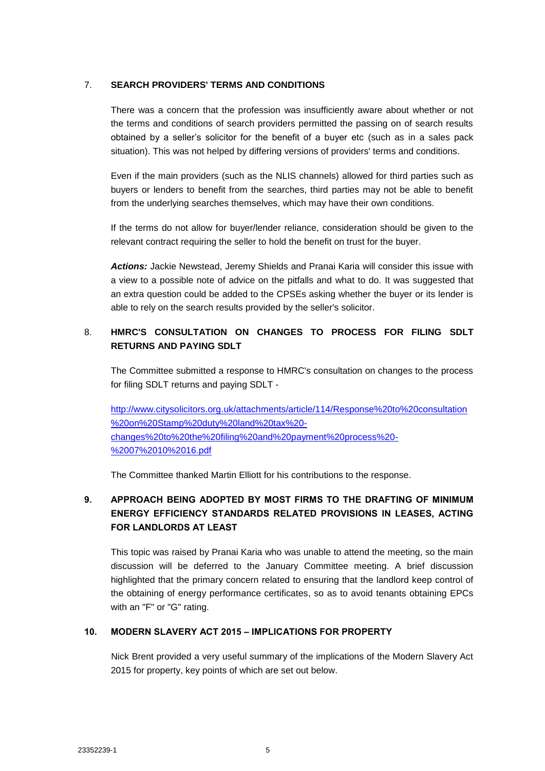## 7. **SEARCH PROVIDERS' TERMS AND CONDITIONS**

There was a concern that the profession was insufficiently aware about whether or not the terms and conditions of search providers permitted the passing on of search results obtained by a seller's solicitor for the benefit of a buyer etc (such as in a sales pack situation). This was not helped by differing versions of providers' terms and conditions.

Even if the main providers (such as the NLIS channels) allowed for third parties such as buyers or lenders to benefit from the searches, third parties may not be able to benefit from the underlying searches themselves, which may have their own conditions.

If the terms do not allow for buyer/lender reliance, consideration should be given to the relevant contract requiring the seller to hold the benefit on trust for the buyer.

*Actions:* Jackie Newstead, Jeremy Shields and Pranai Karia will consider this issue with a view to a possible note of advice on the pitfalls and what to do. It was suggested that an extra question could be added to the CPSEs asking whether the buyer or its lender is able to rely on the search results provided by the seller's solicitor.

## 8. **HMRC'S CONSULTATION ON CHANGES TO PROCESS FOR FILING SDLT RETURNS AND PAYING SDLT**

The Committee submitted a response to HMRC's consultation on changes to the process for filing SDLT returns and paying SDLT -

[http://www.citysolicitors.org.uk/attachments/article/114/Response%20to%20consultation](http://www.citysolicitors.org.uk/attachments/article/114/Response%20to%20consultation%20on%20Stamp%20duty%20land%20tax%20-changes%20to%20the%20filing%20and%20payment%20process%20-%2007%2010%2016.pdf) [%20on%20Stamp%20duty%20land%20tax%20](http://www.citysolicitors.org.uk/attachments/article/114/Response%20to%20consultation%20on%20Stamp%20duty%20land%20tax%20-changes%20to%20the%20filing%20and%20payment%20process%20-%2007%2010%2016.pdf) [changes%20to%20the%20filing%20and%20payment%20process%20-](http://www.citysolicitors.org.uk/attachments/article/114/Response%20to%20consultation%20on%20Stamp%20duty%20land%20tax%20-changes%20to%20the%20filing%20and%20payment%20process%20-%2007%2010%2016.pdf) [%2007%2010%2016.pdf](http://www.citysolicitors.org.uk/attachments/article/114/Response%20to%20consultation%20on%20Stamp%20duty%20land%20tax%20-changes%20to%20the%20filing%20and%20payment%20process%20-%2007%2010%2016.pdf)

The Committee thanked Martin Elliott for his contributions to the response.

## **9. APPROACH BEING ADOPTED BY MOST FIRMS TO THE DRAFTING OF MINIMUM ENERGY EFFICIENCY STANDARDS RELATED PROVISIONS IN LEASES, ACTING FOR LANDLORDS AT LEAST**

This topic was raised by Pranai Karia who was unable to attend the meeting, so the main discussion will be deferred to the January Committee meeting. A brief discussion highlighted that the primary concern related to ensuring that the landlord keep control of the obtaining of energy performance certificates, so as to avoid tenants obtaining EPCs with an "F" or "G" rating.

## **10. MODERN SLAVERY ACT 2015 – IMPLICATIONS FOR PROPERTY**

Nick Brent provided a very useful summary of the implications of the Modern Slavery Act 2015 for property, key points of which are set out below.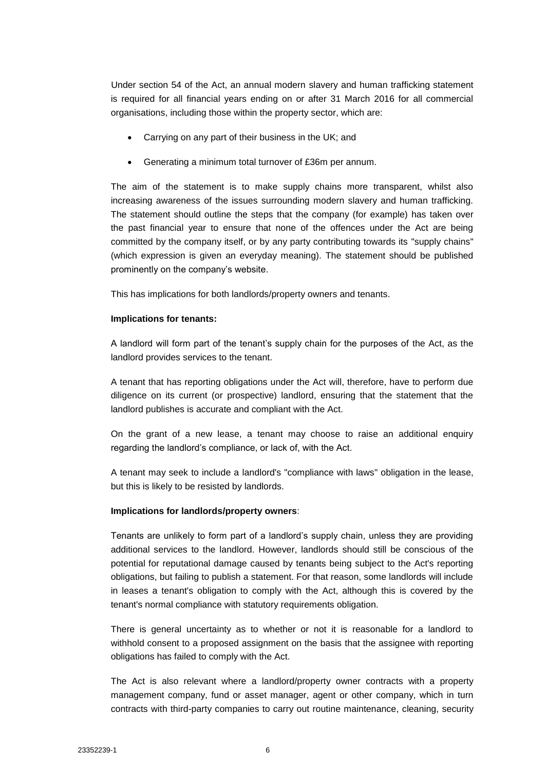Under section 54 of the Act, an annual modern slavery and human trafficking statement is required for all financial years ending on or after 31 March 2016 for all commercial organisations, including those within the property sector, which are:

- Carrying on any part of their business in the UK; and
- Generating a minimum total turnover of £36m per annum.

The aim of the statement is to make supply chains more transparent, whilst also increasing awareness of the issues surrounding modern slavery and human trafficking. The statement should outline the steps that the company (for example) has taken over the past financial year to ensure that none of the offences under the Act are being committed by the company itself, or by any party contributing towards its "supply chains" (which expression is given an everyday meaning). The statement should be published prominently on the company's website.

This has implications for both landlords/property owners and tenants.

#### **Implications for tenants:**

A landlord will form part of the tenant's supply chain for the purposes of the Act, as the landlord provides services to the tenant.

A tenant that has reporting obligations under the Act will, therefore, have to perform due diligence on its current (or prospective) landlord, ensuring that the statement that the landlord publishes is accurate and compliant with the Act.

On the grant of a new lease, a tenant may choose to raise an additional enquiry regarding the landlord's compliance, or lack of, with the Act.

A tenant may seek to include a landlord's "compliance with laws" obligation in the lease, but this is likely to be resisted by landlords.

#### **Implications for landlords/property owners**:

Tenants are unlikely to form part of a landlord's supply chain, unless they are providing additional services to the landlord. However, landlords should still be conscious of the potential for reputational damage caused by tenants being subject to the Act's reporting obligations, but failing to publish a statement. For that reason, some landlords will include in leases a tenant's obligation to comply with the Act, although this is covered by the tenant's normal compliance with statutory requirements obligation.

There is general uncertainty as to whether or not it is reasonable for a landlord to withhold consent to a proposed assignment on the basis that the assignee with reporting obligations has failed to comply with the Act.

The Act is also relevant where a landlord/property owner contracts with a property management company, fund or asset manager, agent or other company, which in turn contracts with third-party companies to carry out routine maintenance, cleaning, security